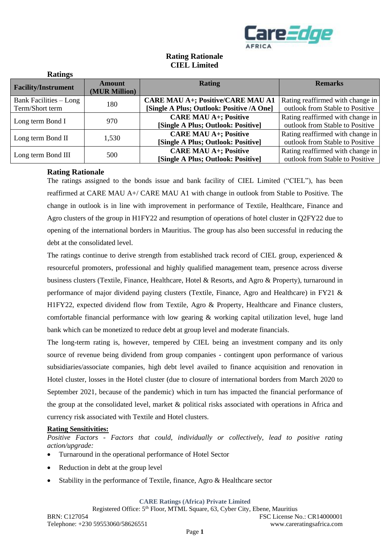

# **Rating Rationale CIEL Limited**

| Rauligs                    |                         |                                           |                                  |
|----------------------------|-------------------------|-------------------------------------------|----------------------------------|
| <b>Facility/Instrument</b> | Amount<br>(MUR Million) | <b>Rating</b>                             | <b>Remarks</b>                   |
| Bank Facilities $-Long$    | 180                     | <b>CARE MAU A+; Positive/CARE MAU A1</b>  | Rating reaffirmed with change in |
| Term/Short term            |                         | [Single A Plus; Outlook: Positive /A One] | outlook from Stable to Positive  |
| Long term Bond I           | 970                     | <b>CARE MAU A+; Positive</b>              | Rating reaffirmed with change in |
|                            |                         | [Single A Plus; Outlook: Positive]        | outlook from Stable to Positive  |
|                            | 1,530                   | <b>CARE MAU A+; Positive</b>              | Rating reaffirmed with change in |
| Long term Bond II          |                         | [Single A Plus; Outlook: Positive]        | outlook from Stable to Positive  |
|                            |                         | <b>CARE MAU A+; Positive</b>              | Rating reaffirmed with change in |
| Long term Bond III         | 500                     | [Single A Plus; Outlook: Positive]        | outlook from Stable to Positive  |

## **Rating Rationale**

**Ratings**

The ratings assigned to the bonds issue and bank facility of CIEL Limited ("CIEL"), has been reaffirmed at CARE MAU A+/ CARE MAU A1 with change in outlook from Stable to Positive. The change in outlook is in line with improvement in performance of Textile, Healthcare, Finance and Agro clusters of the group in H1FY22 and resumption of operations of hotel cluster in Q2FY22 due to opening of the international borders in Mauritius. The group has also been successful in reducing the debt at the consolidated level.

The ratings continue to derive strength from established track record of CIEL group, experienced  $\&$ resourceful promoters, professional and highly qualified management team, presence across diverse business clusters (Textile, Finance, Healthcare, Hotel & Resorts, and Agro & Property), turnaround in performance of major dividend paying clusters (Textile, Finance, Agro and Healthcare) in FY21 & H1FY22, expected dividend flow from Textile, Agro & Property, Healthcare and Finance clusters, comfortable financial performance with low gearing  $\&$  working capital utilization level, huge land bank which can be monetized to reduce debt at group level and moderate financials.

The long-term rating is, however, tempered by CIEL being an investment company and its only source of revenue being dividend from group companies - contingent upon performance of various subsidiaries/associate companies, high debt level availed to finance acquisition and renovation in Hotel cluster, losses in the Hotel cluster (due to closure of international borders from March 2020 to September 2021, because of the pandemic) which in turn has impacted the financial performance of the group at the consolidated level, market & political risks associated with operations in Africa and currency risk associated with Textile and Hotel clusters.

## **Rating Sensitivities:**

*Positive Factors - Factors that could, individually or collectively, lead to positive rating action/upgrade:*

- Turnaround in the operational performance of Hotel Sector
- Reduction in debt at the group level
- Stability in the performance of Textile, finance, Agro & Healthcare sector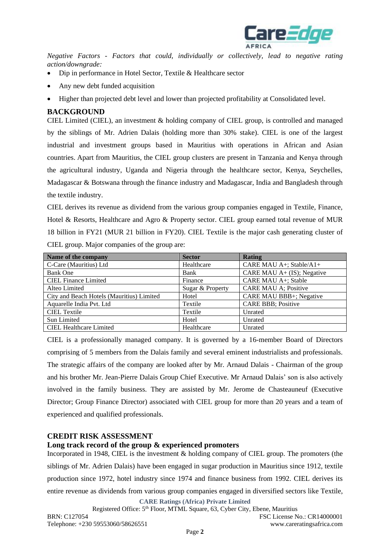

*Negative Factors - Factors that could, individually or collectively, lead to negative rating action/downgrade:*

- Dip in performance in Hotel Sector, Textile & Healthcare sector
- Any new debt funded acquisition
- Higher than projected debt level and lower than projected profitability at Consolidated level.

## **BACKGROUND**

CIEL Limited (CIEL), an investment & holding company of CIEL group, is controlled and managed by the siblings of Mr. Adrien Dalais (holding more than 30% stake). CIEL is one of the largest industrial and investment groups based in Mauritius with operations in African and Asian countries. Apart from Mauritius, the CIEL group clusters are present in Tanzania and Kenya through the agricultural industry, Uganda and Nigeria through the healthcare sector, Kenya, Seychelles, Madagascar & Botswana through the finance industry and Madagascar, India and Bangladesh through the textile industry.

CIEL derives its revenue as dividend from the various group companies engaged in Textile, Finance, Hotel & Resorts, Healthcare and Agro & Property sector. CIEL group earned total revenue of MUR 18 billion in FY21 (MUR 21 billion in FY20). CIEL Textile is the major cash generating cluster of CIEL group. Major companies of the group are:

| Name of the company                       | <b>Sector</b>    | Rating                       |
|-------------------------------------------|------------------|------------------------------|
| C-Care (Mauritius) Ltd                    | Healthcare       | CARE MAU A+; Stable/A1+      |
| <b>Bank One</b>                           | Bank             | CARE MAU $A+$ (IS); Negative |
| <b>CIEL Finance Limited</b>               | Finance          | CARE MAU A+; Stable          |
| Alteo Limited                             | Sugar & Property | <b>CARE MAU A; Positive</b>  |
| City and Beach Hotels (Mauritius) Limited | Hotel            | CARE MAU BBB+; Negative      |
| Aquarelle India Pvt. Ltd                  | Textile          | <b>CARE BBB</b> ; Positive   |
| <b>CIEL Textile</b>                       | Textile          | Unrated                      |
| Sun Limited                               | Hotel            | Unrated                      |
| <b>CIEL Healthcare Limited</b>            | Healthcare       | Unrated                      |

CIEL is a professionally managed company. It is governed by a 16-member Board of Directors comprising of 5 members from the Dalais family and several eminent industrialists and professionals. The strategic affairs of the company are looked after by Mr. Arnaud Dalais - Chairman of the group and his brother Mr. Jean-Pierre Dalais Group Chief Executive. Mr Arnaud Dalais' son is also actively involved in the family business. They are assisted by Mr. Jerome de Chasteauneuf (Executive Director; Group Finance Director) associated with CIEL group for more than 20 years and a team of experienced and qualified professionals.

## **CREDIT RISK ASSESSMENT**

## **Long track record of the group & experienced promoters**

Incorporated in 1948, CIEL is the investment & holding company of CIEL group. The promoters (the siblings of Mr. Adrien Dalais) have been engaged in sugar production in Mauritius since 1912, textile production since 1972, hotel industry since 1974 and finance business from 1992. CIEL derives its entire revenue as dividends from various group companies engaged in diversified sectors like Textile,

**CARE Ratings (Africa) Private Limited**

Registered Office: 5<sup>th</sup> Floor, MTML Square, 63, Cyber City, Ebene, Mauritius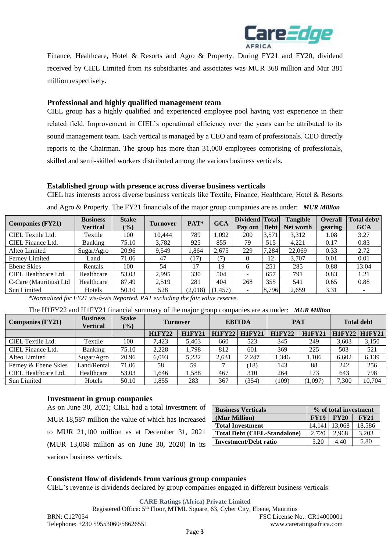

Finance, Healthcare, Hotel & Resorts and Agro & Property. During FY21 and FY20, dividend received by CIEL Limited from its subsidiaries and associates was MUR 368 million and Mur 381 million respectively.

## **Professional and highly qualified management team**

CIEL group has a highly qualified and experienced employee pool having vast experience in their related field. Improvement in CIEL's operational efficiency over the years can be attributed to its sound management team. Each vertical is managed by a CEO and team of professionals. CEO directly reports to the Chairman. The group has more than 31,000 employees comprising of professionals, skilled and semi-skilled workers distributed among the various business verticals.

#### **Established group with presence across diverse business verticals**

CIEL has interests across diverse business verticals like Textile, Finance, Healthcare, Hotel & Resorts

| <b>Companies (FY21)</b> | <b>Business</b> | <b>Stake</b>  | <b>Turnover</b> | PAT*    | <b>GCA</b> | Dividend Total           |       | <b>Tangible</b> | <b>Overall</b> | Total debt/ |
|-------------------------|-----------------|---------------|-----------------|---------|------------|--------------------------|-------|-----------------|----------------|-------------|
|                         | Vertical        | $\frac{1}{2}$ |                 |         |            | Pay out                  | Debt  | Net worth       | gearing        | <b>GCA</b>  |
| CIEL Textile Ltd.       | Textile         | 100           | 10.444          | 789     | 1.092      | 200                      | 3,571 | 3,312           | 1.08           | 3.27        |
| CIEL Finance Ltd.       | Banking         | 75.10         | 3,782           | 925     | 855        | 79                       | 515   | 4,221           | 0.17           | 0.83        |
| Alteo Limited           | Sugar/Agro      | 20.96         | 9,549           | .,864   | 2.675      | 229                      | 7,284 | 22,069          | 0.33           | 2.72        |
| Ferney Limited          | Land            | 71.06         | 47              | (17)    | (7)        |                          | 12    | 3.707           | 0.01           | 0.01        |
| Ebene Skies             | Rentals         | 100           | 54              |         | 19         | h.                       | 251   | 285             | 0.88           | 13.04       |
| CIEL Healthcare Ltd.    | Healthcare      | 53.03         | 2,995           | 330     | 504        | $\overline{\phantom{0}}$ | 657   | 791             | 0.83           | 1.21        |
| C-Care (Mauritius) Ltd  | Healthcare      | 87.49         | 2,519           | 281     | 404        | 268                      | 355   | 541             | 0.65           | 0.88        |
| Sun Limited             | Hotels          | 50.10         | 528             | (2,018) | (1,457)    | ۰.                       | 8,796 | 2,659           | 3.31           | -           |
|                         |                 |               |                 |         |            |                          |       |                 |                |             |

and Agro & Property. The FY21 financials of the major group companies are as under: *MUR Million*

*\*Normalized for FY21 vis-à-vis Reported. PAT excluding the fair value reserve.* 

The H1FY22 and H1FY21 financial summary of the major group companies are as under: *MUR Million*

| <b>Companies (FY21)</b> | <b>Business</b><br>Vertical | <b>Stake</b><br>$(\%)$ | <b>EBITDA</b><br><b>Turnover</b> |               | <b>PAT</b> |               | <b>Total debt</b> |               |       |                      |
|-------------------------|-----------------------------|------------------------|----------------------------------|---------------|------------|---------------|-------------------|---------------|-------|----------------------|
|                         |                             |                        | <b>H1FY22</b>                    | <b>H1FY21</b> | HIFY22     | <b>H1FY21</b> | <b>H1FY22</b>     | <b>H1FY21</b> |       | <b>H1FY22 H1FY21</b> |
| CIEL Textile Ltd.       | Textile                     | 100                    | 7,423                            | 5.403         | 660        | 523           | 345               | 249           | 3.603 | 3,150                |
| CIEL Finance Ltd.       | <b>Banking</b>              | 75.10                  | 2,228                            | 1.798         | 812        | 601           | 369               | 225           | 503   | 521                  |
| Alteo Limited           | Sugar/Agro                  | 20.96                  | 6.093                            | 5.232         | 2,631      | 2.247         | 1,346             | 1.106         | 6.602 | 6,139                |
| Ferney & Ebene Skies    | Land/Rental                 | 71.06                  | 58                               | 59            |            | (18)          | 143               | 88            | 242   | 256                  |
| CIEL Healthcare Ltd.    | Healthcare                  | 53.03                  | .646                             | 1,588         | 467        | 310           | 264               | 173           | 643   | 798                  |
| Sun Limited             | Hotels                      | 50.10                  | .855                             | 283           | 367        | (354)         | (109)             | (1.097)       | 7.300 | 10.704               |

#### **Investment in group companies**

As on June 30, 2021; CIEL had a total investment of MUR 18,587 million the value of which has increased to MUR 21,100 million as at December 31, 2021 (MUR 13,068 million as on June 30, 2020) in its various business verticals.

| <b>Business Verticals</b>           | % of total investment |             |        |  |
|-------------------------------------|-----------------------|-------------|--------|--|
| (Mur Million)                       | <b>FY19</b>           | <b>FY20</b> | FY21   |  |
| <b>Total Investment</b>             | 14.141                | 13,068      | 18,586 |  |
| <b>Total Debt (CIEL-Standalone)</b> | 2.720                 | 2.968       | 3.203  |  |
| <b>Investment/Debt ratio</b>        | 5.20                  | 4.40        | 5.80   |  |

### **Consistent flow of dividends from various group companies**

CIEL's revenue is dividends declared by group companies engaged in different business verticals:

**CARE Ratings (Africa) Private Limited**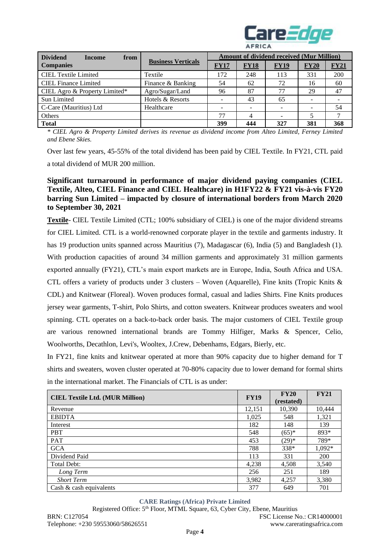

| <b>Dividend</b><br>from<br><b>Income</b> |                           | <b>Amount of dividend received (Mur Million)</b> |             |             |      |             |  |
|------------------------------------------|---------------------------|--------------------------------------------------|-------------|-------------|------|-------------|--|
| <b>Companies</b>                         | <b>Business Verticals</b> | <b>FY17</b>                                      | <b>FY18</b> | <b>FY19</b> | FY20 | <b>FY21</b> |  |
| <b>CIEL Textile Limited</b>              | Textile                   | 172                                              | 248         | 113         | 331  | 200         |  |
| <b>CIEL Finance Limited</b>              | Finance & Banking         | 54                                               | 62          | 72          | 16   | 60          |  |
| CIEL Agro & Property Limited*            | Agro/Sugar/Land           | 96                                               | 87          | 77          | 29   | 47          |  |
| Sun Limited                              | Hotels & Resorts          |                                                  | 43          | 65          |      |             |  |
| C-Care (Mauritius) Ltd                   | Healthcare                |                                                  |             |             | -    | 54          |  |
| Others                                   |                           | 77                                               | 4           |             |      |             |  |
| <b>Total</b>                             |                           | 399                                              | 444         | 327         | 381  | 368         |  |

*\* CIEL Agro & Property Limited derives its revenue as dividend income from Alteo Limited, Ferney Limited and Ebene Skies.*

Over last few years, 45-55% of the total dividend has been paid by CIEL Textile. In FY21, CTL paid a total dividend of MUR 200 million.

# **Significant turnaround in performance of major dividend paying companies (CIEL Textile, Alteo, CIEL Finance and CIEL Healthcare) in H1FY22 & FY21 vis-à-vis FY20 barring Sun Limited – impacted by closure of international borders from March 2020 to September 30, 2021**

**Textile**- CIEL Textile Limited (CTL; 100% subsidiary of CIEL) is one of the major dividend streams for CIEL Limited. CTL is a world-renowned corporate player in the textile and garments industry. It has 19 production units spanned across Mauritius (7), Madagascar (6), India (5) and Bangladesh (1). With production capacities of around 34 million garments and approximately 31 million garments exported annually (FY21), CTL's main export markets are in Europe, India, South Africa and USA. CTL offers a variety of products under 3 clusters – Woven (Aquarelle), Fine knits (Tropic Knits & CDL) and Knitwear (Floreal). Woven produces formal, casual and ladies Shirts. Fine Knits produces jersey wear garments, T-shirt, Polo Shirts, and cotton sweaters. Knitwear produces sweaters and wool spinning. CTL operates on a back-to-back order basis. The major customers of CIEL Textile group are various renowned international brands are Tommy Hilfiger, Marks & Spencer, Celio, Woolworths, Decathlon, Levi's, Wooltex, J.Crew, Debenhams, Edgars, Bierly, etc.

In FY21, fine knits and knitwear operated at more than 90% capacity due to higher demand for T shirts and sweaters, woven cluster operated at 70-80% capacity due to lower demand for formal shirts in the international market. The Financials of CTL is as under:

| <b>CIEL Textile Ltd. (MUR Million)</b> | <b>FY19</b> | <b>FY20</b><br>(restated) | FY21     |
|----------------------------------------|-------------|---------------------------|----------|
| Revenue                                | 12,151      | 10,390                    | 10,444   |
| <b>EBIDTA</b>                          | 1,025       | 548                       | 1,321    |
| Interest                               | 182         | 148                       | 139      |
| <b>PBT</b>                             | 548         | $(65)*$                   | 893*     |
| PAT                                    | 453         | $(29)*$                   | 789*     |
| <b>GCA</b>                             | 788         | $338*$                    | $1,092*$ |
| Dividend Paid                          | 113         | 331                       | 200      |
| Total Debt:                            | 4,238       | 4,508                     | 3,540    |
| Long Term                              | 256         | 251                       | 189      |
| <b>Short Term</b>                      | 3,982       | 4,257                     | 3,380    |
| Cash $\&$ cash equivalents             | 377         | 649                       | 701      |

#### **CARE Ratings (Africa) Private Limited**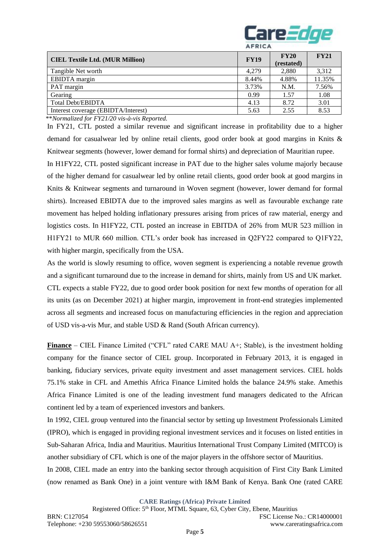

| <b>CIEL Textile Ltd. (MUR Million)</b> | <b>FY19</b> | FY20<br>(restated) | <b>FY21</b> |
|----------------------------------------|-------------|--------------------|-------------|
| Tangible Net worth                     | 4.279       | 2,880              | 3.312       |
| EBIDTA margin                          | 8.44%       | 4.88%              | 11.35%      |
| PAT margin                             | 3.73%       | N.M.               | 7.56%       |
| Gearing                                | 0.99        | 1.57               | 1.08        |
| <b>Total Debt/EBIDTA</b>               | 4.13        | 8.72               | 3.01        |
| Interest coverage (EBIDTA/Interest)    | 5.63        | 2.55               | 8.53        |

\*\**Normalized for FY21/20 vis-à-vis Reported.* 

In FY21, CTL posted a similar revenue and significant increase in profitability due to a higher demand for casualwear led by online retail clients, good order book at good margins in Knits & Knitwear segments (however, lower demand for formal shirts) and depreciation of Mauritian rupee.

In H1FY22, CTL posted significant increase in PAT due to the higher sales volume majorly because of the higher demand for casualwear led by online retail clients, good order book at good margins in Knits & Knitwear segments and turnaround in Woven segment (however, lower demand for formal shirts). Increased EBIDTA due to the improved sales margins as well as favourable exchange rate movement has helped holding inflationary pressures arising from prices of raw material, energy and logistics costs. In H1FY22, CTL posted an increase in EBITDA of 26% from MUR 523 million in H1FY21 to MUR 660 million. CTL's order book has increased in Q2FY22 compared to Q1FY22, with higher margin, specifically from the USA.

As the world is slowly resuming to office, woven segment is experiencing a notable revenue growth and a significant turnaround due to the increase in demand for shirts, mainly from US and UK market. CTL expects a stable FY22, due to good order book position for next few months of operation for all its units (as on December 2021) at higher margin, improvement in front-end strategies implemented across all segments and increased focus on manufacturing efficiencies in the region and appreciation of USD vis-a-vis Mur, and stable USD & Rand (South African currency).

**Finance** – CIEL Finance Limited ("CFL" rated CARE MAU A+; Stable), is the investment holding company for the finance sector of CIEL group. Incorporated in February 2013, it is engaged in banking, fiduciary services, private equity investment and asset management services. CIEL holds 75.1% stake in CFL and Amethis Africa Finance Limited holds the balance 24.9% stake. Amethis Africa Finance Limited is one of the leading investment fund managers dedicated to the African continent led by a team of experienced investors and bankers.

In 1992, CIEL group ventured into the financial sector by setting up Investment Professionals Limited (IPRO), which is engaged in providing regional investment services and it focuses on listed entities in Sub-Saharan Africa, India and Mauritius. Mauritius International Trust Company Limited (MITCO) is another subsidiary of CFL which is one of the major players in the offshore sector of Mauritius.

In 2008, CIEL made an entry into the banking sector through acquisition of First City Bank Limited (now renamed as Bank One) in a joint venture with I&M Bank of Kenya. Bank One (rated CARE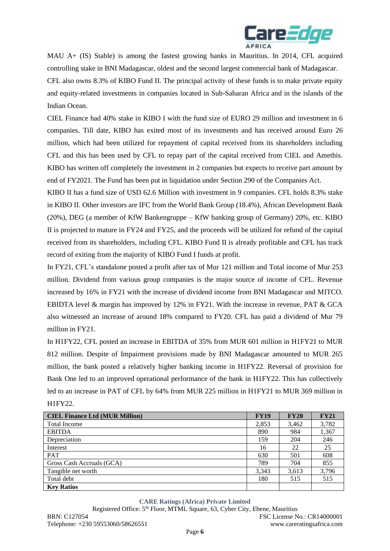

MAU A+ (IS) Stable) is among the fastest growing banks in Mauritius. In 2014, CFL acquired controlling stake in BNI Madagascar, oldest and the second largest commercial bank of Madagascar.

CFL also owns 8.3% of KIBO Fund II. The principal activity of these funds is to make private equity and equity-related investments in companies located in Sub-Saharan Africa and in the islands of the Indian Ocean.

CIEL Finance had 40% stake in KIBO I with the fund size of EURO 29 million and investment in 6 companies. Till date, KIBO has exited most of its investments and has received around Euro 26 million, which had been utilized for repayment of capital received from its shareholders including CFL and this has been used by CFL to repay part of the capital received from CIEL and Amethis. KIBO has written off completely the investment in 2 companies but expects to receive part amount by end of FY2021. The Fund has been put in liquidation under Section 290 of the Companies Act.

KIBO II has a fund size of USD 62.6 Million with investment in 9 companies. CFL holds 8.3% stake in KIBO II. Other investors are IFC from the World Bank Group (18.4%), African Development Bank (20%), DEG (a member of KfW Bankengruppe – KfW banking group of Germany) 20%, etc. KIBO II is projected to mature in FY24 and FY25, and the proceeds will be utilized for refund of the capital received from its shareholders, including CFL. KIBO Fund II is already profitable and CFL has track record of exiting from the majority of KIBO Fund I funds at profit.

In FY21, CFL's standalone posted a profit after tax of Mur 121 million and Total income of Mur 253 million. Dividend from various group companies is the major source of income of CFL. Revenue increased by 16% in FY21 with the increase of dividend income from BNI Madagascar and MITCO. EBIDTA level & margin has improved by 12% in FY21. With the increase in revenue, PAT & GCA also witnessed an increase of around 18% compared to FY20. CFL has paid a dividend of Mur 79 million in FY21.

In H1FY22, CFL posted an increase in EBITDA of 35% from MUR 601 million in H1FY21 to MUR 812 million. Despite of Impairment provisions made by BNI Madagascar amounted to MUR 265 million, the bank posted a relatively higher banking income in H1FY22. Reversal of provision for Bank One led to an improved operational performance of the bank in H1FY22. This has collectively led to an increase in PAT of CFL by 64% from MUR 225 million in H1FY21 to MUR 369 million in H1FY22.

| <b>CIEL Finance Ltd (MUR Million)</b> | <b>FY19</b> | FY20  | <b>FY21</b> |
|---------------------------------------|-------------|-------|-------------|
| <b>Total Income</b>                   | 2,853       | 3,462 | 3,782       |
| <b>EBITDA</b>                         | 890         | 984   | 1,367       |
| Depreciation                          | 159         | 204   | 246         |
| Interest                              | 16          | 22    | 25          |
| <b>PAT</b>                            | 630         | 501   | 608         |
| Gross Cash Accruals (GCA)             | 789         | 704   | 855         |
| Tangible net worth                    | 3,343       | 3,613 | 3,796       |
| Total debt                            | 180         | 515   | 515         |
| <b>Key Ratios</b>                     |             |       |             |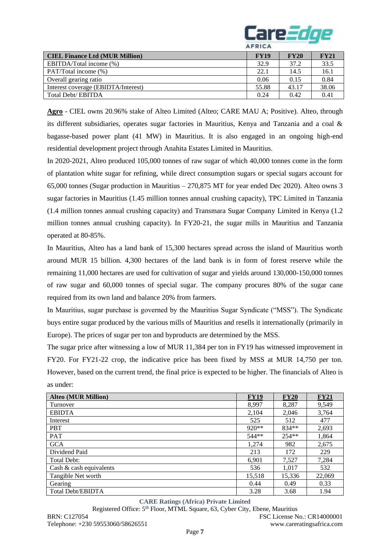

| <b>CIEL Finance Ltd (MUR Million)</b> | <b>FY19</b> | <b>FY20</b> | <b>FY21</b> |
|---------------------------------------|-------------|-------------|-------------|
| EBITDA/Total income (%)               | 32.9        | 37.2        | 33.5        |
| PAT/Total income (%)                  | 22.1        | 14.5        | 16.1        |
| Overall gearing ratio                 | 0.06        | 0.15        | 0.84        |
| Interest coverage (EBIDTA/Interest)   | 55.88       | 43.17       | 38.06       |
| Total Debt/ EBITDA                    | 0.24        | 0.42        | 0.41        |

**Agro** - CIEL owns 20.96% stake of Alteo Limited (Alteo; CARE MAU A; Positive). Alteo, through its different subsidiaries, operates sugar factories in Mauritius, Kenya and Tanzania and a coal & bagasse-based power plant (41 MW) in Mauritius. It is also engaged in an ongoing high-end residential development project through Anahita Estates Limited in Mauritius.

In 2020-2021, Alteo produced 105,000 tonnes of raw sugar of which 40,000 tonnes come in the form of plantation white sugar for refining, while direct consumption sugars or special sugars account for 65,000 tonnes (Sugar production in Mauritius – 270,875 MT for year ended Dec 2020). Alteo owns 3 sugar factories in Mauritius (1.45 million tonnes annual crushing capacity), TPC Limited in Tanzania (1.4 million tonnes annual crushing capacity) and Transmara Sugar Company Limited in Kenya (1.2 million tonnes annual crushing capacity). In FY20-21, the sugar mills in Mauritius and Tanzania operated at 80-85%.

In Mauritius, Alteo has a land bank of 15,300 hectares spread across the island of Mauritius worth around MUR 15 billion. 4,300 hectares of the land bank is in form of forest reserve while the remaining 11,000 hectares are used for cultivation of sugar and yields around 130,000-150,000 tonnes of raw sugar and 60,000 tonnes of special sugar. The company procures 80% of the sugar cane required from its own land and balance 20% from farmers.

In Mauritius, sugar purchase is governed by the Mauritius Sugar Syndicate ("MSS"). The Syndicate buys entire sugar produced by the various mills of Mauritius and resells it internationally (primarily in Europe). The prices of sugar per ton and byproducts are determined by the MSS.

The sugar price after witnessing a low of MUR 11,384 per ton in FY19 has witnessed improvement in FY20. For FY21-22 crop, the indicative price has been fixed by MSS at MUR 14,750 per ton. However, based on the current trend, the final price is expected to be higher. The financials of Alteo is as under:

| <b>Alteo (MUR Million)</b> | <b>FY19</b> | <b>FY20</b> | <b>FY21</b> |
|----------------------------|-------------|-------------|-------------|
| Turnover                   | 8,997       | 8,287       | 9,549       |
| <b>EBIDTA</b>              | 2,104       | 2,046       | 3,764       |
| Interest                   | 525         | 512         | 477         |
| <b>PBT</b>                 | $920**$     | $834**$     | 2,693       |
| <b>PAT</b>                 | 544**       | $254**$     | 1,864       |
| <b>GCA</b>                 | 1,274       | 982         | 2,675       |
| Dividend Paid              | 213         | 172         | 229         |
| Total Debt:                | 6,901       | 7,527       | 7,284       |
| Cash $\&$ cash equivalents | 536         | 1,017       | 532         |
| Tangible Net worth         | 15,518      | 15,336      | 22,069      |
| Gearing                    | 0.44        | 0.49        | 0.33        |
| <b>Total Debt/EBIDTA</b>   | 3.28        | 3.68        | 1.94        |

## **CARE Ratings (Africa) Private Limited**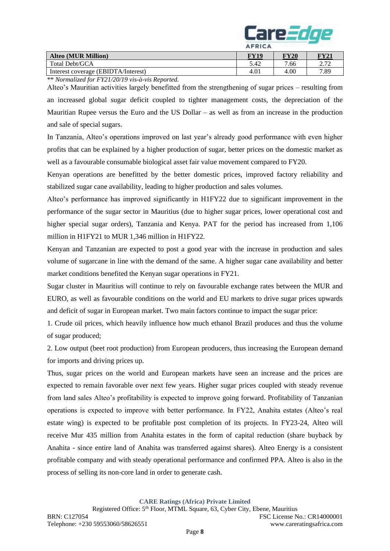

|                                     | $-11.15.1$ |             |                          |
|-------------------------------------|------------|-------------|--------------------------|
| <b>Alteo (MUR Million)</b>          | $\bf TU19$ | <b>FY20</b> | $\mathbf{F}\mathbf{Y21}$ |
| Total Debt/GCA                      | 5.42       | 7.66        | יה ה<br>4.14             |
| Interest coverage (EBIDTA/Interest) | 4.01       | 4.00        | 7.89                     |

\*\* *Normalized for FY21/20/19 vis-à-vis Reported.* 

Alteo's Mauritian activities largely benefitted from the strengthening of sugar prices – resulting from an increased global sugar deficit coupled to tighter management costs, the depreciation of the Mauritian Rupee versus the Euro and the US Dollar – as well as from an increase in the production and sale of special sugars.

In Tanzania, Alteo's operations improved on last year's already good performance with even higher profits that can be explained by a higher production of sugar, better prices on the domestic market as well as a favourable consumable biological asset fair value movement compared to FY20.

Kenyan operations are benefitted by the better domestic prices, improved factory reliability and stabilized sugar cane availability, leading to higher production and sales volumes.

Alteo's performance has improved significantly in H1FY22 due to significant improvement in the performance of the sugar sector in Mauritius (due to higher sugar prices, lower operational cost and higher special sugar orders), Tanzania and Kenya. PAT for the period has increased from 1,106 million in H1FY21 to MUR 1,346 million in H1FY22.

Kenyan and Tanzanian are expected to post a good year with the increase in production and sales volume of sugarcane in line with the demand of the same. A higher sugar cane availability and better market conditions benefited the Kenyan sugar operations in FY21.

Sugar cluster in Mauritius will continue to rely on favourable exchange rates between the MUR and EURO, as well as favourable conditions on the world and EU markets to drive sugar prices upwards and deficit of sugar in European market. Two main factors continue to impact the sugar price:

1. Crude oil prices, which heavily influence how much ethanol Brazil produces and thus the volume of sugar produced;

2. Low output (beet root production) from European producers, thus increasing the European demand for imports and driving prices up.

Thus, sugar prices on the world and European markets have seen an increase and the prices are expected to remain favorable over next few years. Higher sugar prices coupled with steady revenue from land sales Alteo's profitability is expected to improve going forward. Profitability of Tanzanian operations is expected to improve with better performance. In FY22, Anahita estates (Alteo's real estate wing) is expected to be profitable post completion of its projects. In FY23-24, Alteo will receive Mur 435 million from Anahita estates in the form of capital reduction (share buyback by Anahita - since entire land of Anahita was transferred against shares). Alteo Energy is a consistent profitable company and with steady operational performance and confirmed PPA. Alteo is also in the process of selling its non-core land in order to generate cash.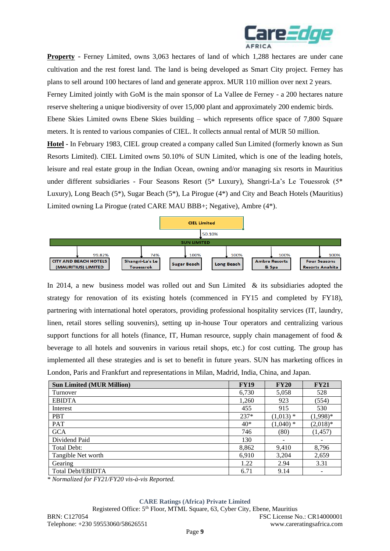

**Property** - Ferney Limited, owns 3,063 hectares of land of which 1,288 hectares are under cane cultivation and the rest forest land. The land is being developed as Smart City project. Ferney has plans to sell around 100 hectares of land and generate approx. MUR 110 million over next 2 years. Ferney Limited jointly with GoM is the main sponsor of La Vallee de Ferney - a 200 hectares nature reserve sheltering a unique biodiversity of over 15,000 plant and approximately 200 endemic birds. Ebene Skies Limited owns Ebene Skies building – which represents office space of 7,800 Square meters. It is rented to various companies of CIEL. It collects annual rental of MUR 50 million. **Hotel -** In February 1983, CIEL group created a company called Sun Limited (formerly known as Sun

Resorts Limited). CIEL Limited owns 50.10% of SUN Limited, which is one of the leading hotels, leisure and real estate group in the Indian Ocean, owning and/or managing six resorts in Mauritius under different subsidiaries - Four Seasons Resort (5\* Luxury), Shangri-La's Le Touessrok (5\* Luxury), Long Beach (5\*), Sugar Beach (5\*), La Pirogue (4\*) and City and Beach Hotels (Mauritius) Limited owning La Pirogue (rated CARE MAU BBB+; Negative), Ambre (4\*).



In 2014, a new business model was rolled out and Sun Limited & its subsidiaries adopted the strategy for renovation of its existing hotels (commenced in FY15 and completed by FY18), partnering with international hotel operators, providing professional hospitality services (IT, laundry, linen, retail stores selling souvenirs), setting up in-house Tour operators and centralizing various support functions for all hotels (finance, IT, Human resource, supply chain management of food  $\&$ beverage to all hotels and souvenirs in various retail shops, etc.) for cost cutting. The group has implemented all these strategies and is set to benefit in future years. SUN has marketing offices in London, Paris and Frankfurt and representations in Milan, Madrid, India, China, and Japan.

| <b>Sun Limited (MUR Million)</b> | <b>FY19</b> | <b>FY20</b> | <b>FY21</b> |
|----------------------------------|-------------|-------------|-------------|
| Turnover                         | 6,730       | 5,058       | 528         |
| <b>EBIDTA</b>                    | 1,260       | 923         | (554)       |
| Interest                         | 455         | 915         | 530         |
| <b>PBT</b>                       | $237*$      | $(1,013)$ * | $(1,998)*$  |
| <b>PAT</b>                       | $40*$       | $(1,040)$ * | $(2,018)*$  |
| <b>GCA</b>                       | 746         | (80)        | (1, 457)    |
| Dividend Paid                    | 130         |             |             |
| Total Debt:                      | 8,862       | 9,410       | 8,796       |
| Tangible Net worth               | 6,910       | 3,204       | 2,659       |
| Gearing                          | 1.22        | 2.94        | 3.31        |
| <b>Total Debt/EBIDTA</b>         | 6.71        | 9.14        |             |

*\* Normalized for FY21/FY20 vis-à-vis Reported.* 

#### **CARE Ratings (Africa) Private Limited**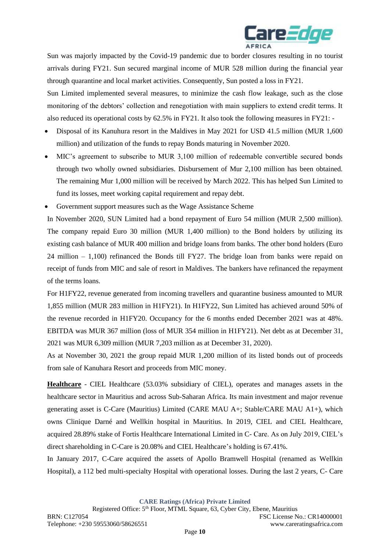

Sun was majorly impacted by the Covid-19 pandemic due to border closures resulting in no tourist arrivals during FY21. Sun secured marginal income of MUR 528 million during the financial year through quarantine and local market activities. Consequently, Sun posted a loss in FY21.

Sun Limited implemented several measures, to minimize the cash flow leakage, such as the close monitoring of the debtors' collection and renegotiation with main suppliers to extend credit terms. It also reduced its operational costs by 62.5% in FY21. It also took the following measures in FY21: -

- Disposal of its Kanuhura resort in the Maldives in May 2021 for USD 41.5 million (MUR 1,600 million) and utilization of the funds to repay Bonds maturing in November 2020.
- MIC's agreement to subscribe to MUR 3,100 million of redeemable convertible secured bonds through two wholly owned subsidiaries. Disbursement of Mur 2,100 million has been obtained. The remaining Mur 1,000 million will be received by March 2022. This has helped Sun Limited to fund its losses, meet working capital requirement and repay debt.
- Government support measures such as the Wage Assistance Scheme

In November 2020, SUN Limited had a bond repayment of Euro 54 million (MUR 2,500 million). The company repaid Euro 30 million (MUR 1,400 million) to the Bond holders by utilizing its existing cash balance of MUR 400 million and bridge loans from banks. The other bond holders (Euro 24 million – 1,100) refinanced the Bonds till FY27. The bridge loan from banks were repaid on receipt of funds from MIC and sale of resort in Maldives. The bankers have refinanced the repayment of the terms loans.

For H1FY22, revenue generated from incoming travellers and quarantine business amounted to MUR 1,855 million (MUR 283 million in H1FY21). In H1FY22, Sun Limited has achieved around 50% of the revenue recorded in H1FY20. Occupancy for the 6 months ended December 2021 was at 48%. EBITDA was MUR 367 million (loss of MUR 354 million in H1FY21). Net debt as at December 31, 2021 was MUR 6,309 million (MUR 7,203 million as at December 31, 2020).

As at November 30, 2021 the group repaid MUR 1,200 million of its listed bonds out of proceeds from sale of Kanuhara Resort and proceeds from MIC money.

**Healthcare** - CIEL Healthcare (53.03% subsidiary of CIEL), operates and manages assets in the healthcare sector in Mauritius and across Sub-Saharan Africa. Its main investment and major revenue generating asset is C-Care (Mauritius) Limited (CARE MAU A+; Stable/CARE MAU A1+), which owns Clinique Darné and Wellkin hospital in Mauritius. In 2019, CIEL and CIEL Healthcare, acquired 28.89% stake of Fortis Healthcare International Limited in C- Care. As on July 2019, CIEL's direct shareholding in C-Care is 20.08% and CIEL Healthcare's holding is 67.41%.

In January 2017, C-Care acquired the assets of Apollo Bramwell Hospital (renamed as Wellkin Hospital), a 112 bed multi-specialty Hospital with operational losses. During the last 2 years, C- Care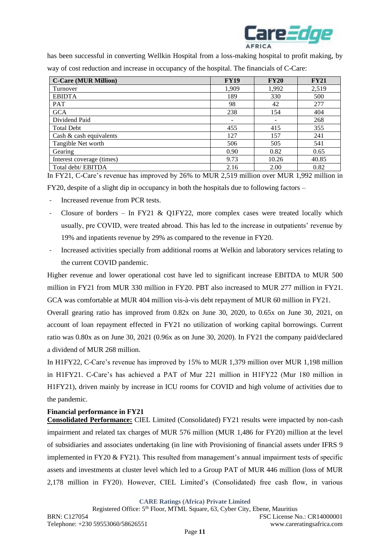

has been successful in converting Wellkin Hospital from a loss-making hospital to profit making, by way of cost reduction and increase in occupancy of the hospital. The financials of C-Care:

| <b>C-Care (MUR Million)</b> | <b>FY19</b> | <b>FY20</b> | <b>FY21</b> |
|-----------------------------|-------------|-------------|-------------|
| Turnover                    | 1,909       | 1,992       | 2,519       |
| <b>EBIDTA</b>               | 189         | 330         | 500         |
| <b>PAT</b>                  | 98          | 42          | 277         |
| <b>GCA</b>                  | 238         | 154         | 404         |
| Dividend Paid               |             |             | 268         |
| <b>Total Debt</b>           | 455         | 415         | 355         |
| Cash $\&$ cash equivalents  | 127         | 157         | 241         |
| Tangible Net worth          | 506         | 505         | 541         |
| Gearing                     | 0.90        | 0.82        | 0.65        |
| Interest coverage (times)   | 9.73        | 10.26       | 40.85       |
| Total debt/ EBITDA          | 2.16        | 2.00        | 0.82        |

In FY21, C-Care's revenue has improved by 26% to MUR 2,519 million over MUR 1,992 million in

FY20, despite of a slight dip in occupancy in both the hospitals due to following factors –

- Increased revenue from PCR tests.
- Closure of borders In FY21 & Q1FY22, more complex cases were treated locally which usually, pre COVID, were treated abroad. This has led to the increase in outpatients' revenue by 19% and inpatients revenue by 29% as compared to the revenue in FY20.
- Increased activities specially from additional rooms at Welkin and laboratory services relating to the current COVID pandemic.

Higher revenue and lower operational cost have led to significant increase EBITDA to MUR 500 million in FY21 from MUR 330 million in FY20. PBT also increased to MUR 277 million in FY21. GCA was comfortable at MUR 404 million vis-à-vis debt repayment of MUR 60 million in FY21.

Overall gearing ratio has improved from 0.82x on June 30, 2020, to 0.65x on June 30, 2021, on account of loan repayment effected in FY21 no utilization of working capital borrowings. Current ratio was 0.80x as on June 30, 2021 (0.96x as on June 30, 2020). In FY21 the company paid/declared a dividend of MUR 268 million.

In H1FY22, C-Care's revenue has improved by 15% to MUR 1,379 million over MUR 1,198 million in H1FY21. C-Care's has achieved a PAT of Mur 221 million in H1FY22 (Mur 180 million in H1FY21), driven mainly by increase in ICU rooms for COVID and high volume of activities due to the pandemic.

## **Financial performance in FY21**

**Consolidated Performance:** CIEL Limited (Consolidated) FY21 results were impacted by non-cash impairment and related tax charges of MUR 576 million (MUR 1,486 for FY20) million at the level of subsidiaries and associates undertaking (in line with Provisioning of financial assets under IFRS 9 implemented in FY20  $&$  FY21). This resulted from management's annual impairment tests of specific assets and investments at cluster level which led to a Group PAT of MUR 446 million (loss of MUR 2,178 million in FY20). However, CIEL Limited's (Consolidated) free cash flow, in various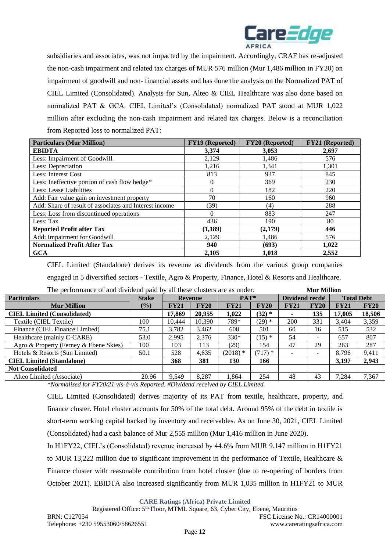

subsidiaries and associates, was not impacted by the impairment. Accordingly, CRAF has re-adjusted the non-cash impairment and related tax charges of MUR 576 million (Mur 1,486 million in FY20) on impairment of goodwill and non- financial assets and has done the analysis on the Normalized PAT of CIEL Limited (Consolidated). Analysis for Sun, Alteo & CIEL Healthcare was also done based on normalized PAT & GCA. CIEL Limited's (Consolidated) normalized PAT stood at MUR 1,022 million after excluding the non-cash impairment and related tax charges. Below is a reconciliation from Reported loss to normalized PAT:

| <b>Particulars (Mur Million)</b>                       | <b>FY19</b> (Reported) | FY20 (Reported) | <b>FY21</b> (Reported) |
|--------------------------------------------------------|------------------------|-----------------|------------------------|
| <b>EBIDTA</b>                                          | 3,374                  | 3,053           | 2,697                  |
| Less: Impairment of Goodwill                           | 2,129                  | 1,486           | 576                    |
| Less: Depreciation                                     | 1,216                  | 1,341           | 1,301                  |
| Less: Interest Cost                                    | 813                    | 937             | 845                    |
| Less: Ineffective portion of cash flow hedge*          |                        | 369             | 230                    |
| Less: Lease Liabilities                                | 0                      | 182             | 220                    |
| Add: Fair value gain on investment property            | 70                     | 160             | 960                    |
| Add: Share of result of associates and Interest income | (39)                   | (4)             | 288                    |
| Less: Loss from discontinued operations                | 0                      | 883             | 247                    |
| Less: Tax                                              | 436                    | 190             | 80                     |
| <b>Reported Profit after Tax</b>                       | (1,189)                | (2,179)         | 446                    |
| Add: Impairment for Goodwill                           | 2,129                  | 1,486           | 576                    |
| <b>Normalized Profit After Tax</b>                     | 940                    | (693)           | 1,022                  |
| <b>GCA</b>                                             | 2,105                  | 1,018           | 2,552                  |

CIEL Limited (Standalone) derives its revenue as dividends from the various group companies engaged in 5 diversified sectors - Textile, Agro & Property, Finance, Hotel & Resorts and Healthcare. The performance of and dividend paid by all these clusters are as under: **Mur Million**

| The performance of and dryinging paid by an inese chasiers are as under. |              |             |                |             |             |                | тин тишил                |             |                   |
|--------------------------------------------------------------------------|--------------|-------------|----------------|-------------|-------------|----------------|--------------------------|-------------|-------------------|
| <b>Particulars</b>                                                       | <b>Stake</b> |             | <b>Revenue</b> | PAT*        |             | Dividend recd# |                          |             | <b>Total Debt</b> |
| <b>Mur Million</b>                                                       | $($ %)       | <b>FY21</b> | <b>FY20</b>    | <b>FY21</b> | <b>FY20</b> | <b>FY21</b>    | FY20                     | <b>FY21</b> | <b>FY20</b>       |
| <b>CIEL Limited (Consolidated)</b>                                       |              | 17,869      | 20,955         | 1,022       | $(32)$ *    |                | 135                      | 17,005      | 18,506            |
| Textile (CIEL Textile)                                                   | 100          | 10,444      | 10.390         | 789*        | $(29)*$     | 200            | 331                      | 3.404       | 3,359             |
| Finance (CIEL Finance Limited)                                           | 75.1         | 3.782       | 3,462          | 608         | 501         | 60             | 16                       | 515         | 532               |
| Healthcare (mainly C-CARE)                                               | 53.0         | 2.995       | 2.376          | $330*$      | $(15)*$     | 54             | $\overline{\phantom{a}}$ | 657         | 807               |
| Agro & Property (Ferney & Ebene Skies)                                   | 100          | 103         | 113            | (29)        | 154         | 47             | 29                       | 263         | 287               |
| Hotels & Resorts (Sun Limited)                                           | 50.1         | 528         | 4,635          | $(2018)*$   | $(717)*$    |                | $\overline{\phantom{0}}$ | 8.796       | 9,411             |
| <b>CIEL Limited (Standalone)</b>                                         |              | 368         | 381            | 130         | 166         |                |                          | 3.197       | 2,943             |
| <b>Not Consolidated</b>                                                  |              |             |                |             |             |                |                          |             |                   |
| Alteo Limited (Associate)                                                | 20.96        | 9.549       | 8,287          | 1.864       | 254         | 48             | 43                       | 7,284       | 7,367             |
|                                                                          |              |             |                |             |             |                |                          |             |                   |

*\*Normalized for FY20/21 vis-à-vis Reported. #Dividend received by CIEL Limited.*

CIEL Limited (Consolidated) derives majority of its PAT from textile, healthcare, property, and finance cluster. Hotel cluster accounts for 50% of the total debt. Around 95% of the debt in textile is short-term working capital backed by inventory and receivables. As on June 30, 2021, CIEL Limited (Consolidated) had a cash balance of Mur 2,555 million (Mur 1,416 million in June 2020).

In H1FY22, CIEL's (Consolidated) revenue increased by 44.6% from MUR 9,147 million in H1FY21 to MUR 13,222 million due to significant improvement in the performance of Textile, Healthcare  $\&$ Finance cluster with reasonable contribution from hotel cluster (due to re-opening of borders from October 2021). EBIDTA also increased significantly from MUR 1,035 million in H1FY21 to MUR

**CARE Ratings (Africa) Private Limited**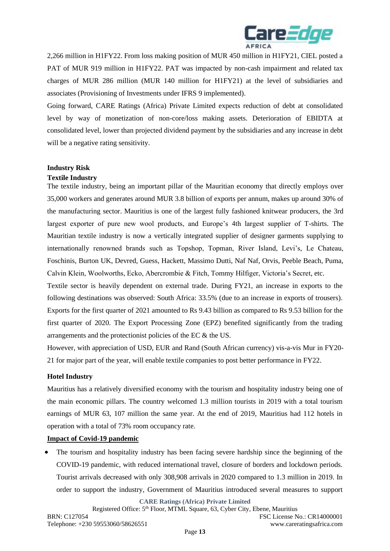

2,266 million in H1FY22. From loss making position of MUR 450 million in H1FY21, CIEL posted a PAT of MUR 919 million in H1FY22. PAT was impacted by non-cash impairment and related tax charges of MUR 286 million (MUR 140 million for H1FY21) at the level of subsidiaries and associates (Provisioning of Investments under IFRS 9 implemented).

Going forward, CARE Ratings (Africa) Private Limited expects reduction of debt at consolidated level by way of monetization of non-core/loss making assets. Deterioration of EBIDTA at consolidated level, lower than projected dividend payment by the subsidiaries and any increase in debt will be a negative rating sensitivity.

## **Industry Risk**

## **Textile Industry**

The textile industry, being an important pillar of the Mauritian economy that directly employs over 35,000 workers and generates around MUR 3.8 billion of exports per annum, makes up around 30% of the manufacturing sector. Mauritius is one of the largest fully fashioned knitwear producers, the 3rd largest exporter of pure new wool products, and Europe's 4th largest supplier of T-shirts. The Mauritian textile industry is now a vertically integrated supplier of designer garments supplying to internationally renowned brands such as Topshop, Topman, River Island, Levi's, Le Chateau, Foschinis, Burton UK, Devred, Guess, Hackett, Massimo Dutti, Naf Naf, Orvis, Peeble Beach, Puma, Calvin Klein, Woolworths, Ecko, Abercrombie & Fitch, Tommy Hilfiger, Victoria's Secret, etc.

Textile sector is heavily dependent on external trade. During FY21, an increase in exports to the following destinations was observed: South Africa: 33.5% (due to an increase in exports of trousers). Exports for the first quarter of 2021 amounted to Rs 9.43 billion as compared to Rs 9.53 billion for the first quarter of 2020. The Export Processing Zone (EPZ) benefited significantly from the trading arrangements and the protectionist policies of the EC & the US.

However, with appreciation of USD, EUR and Rand (South African currency) vis-a-vis Mur in FY20- 21 for major part of the year, will enable textile companies to post better performance in FY22.

## **Hotel Industry**

Mauritius has a relatively diversified economy with the tourism and hospitality industry being one of the main economic pillars. The country welcomed 1.3 million tourists in 2019 with a total tourism earnings of MUR 63, 107 million the same year. At the end of 2019, Mauritius had 112 hotels in operation with a total of 73% room occupancy rate.

## **Impact of Covid-19 pandemic**

• The tourism and hospitality industry has been facing severe hardship since the beginning of the COVID-19 pandemic, with reduced international travel, closure of borders and lockdown periods. Tourist arrivals decreased with only 308,908 arrivals in 2020 compared to 1.3 million in 2019. In order to support the industry, Government of Mauritius introduced several measures to support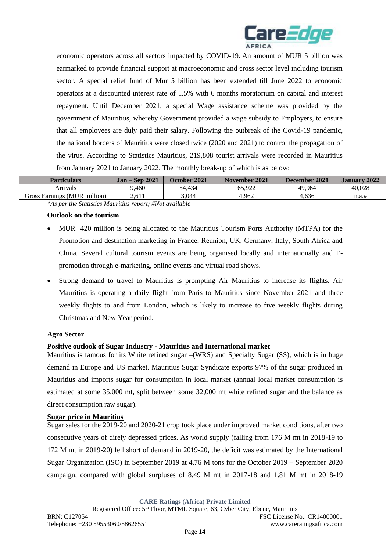

economic operators across all sectors impacted by COVID-19. An amount of MUR 5 billion was earmarked to provide financial support at macroeconomic and cross sector level including tourism sector. A special relief fund of Mur 5 billion has been extended till June 2022 to economic operators at a discounted interest rate of 1.5% with 6 months moratorium on capital and interest repayment. Until December 2021, a special Wage assistance scheme was provided by the government of Mauritius, whereby Government provided a wage subsidy to Employers, to ensure that all employees are duly paid their salary. Following the outbreak of the Covid-19 pandemic, the national borders of Mauritius were closed twice (2020 and 2021) to control the propagation of the virus. According to Statistics Mauritius, 219,808 tourist arrivals were recorded in Mauritius from January 2021 to January 2022. The monthly break-up of which is as below:

| <b>Particulars</b>           | <b>Jan – Sep 2021</b> | October 2021 | November 2021 | December 2021 | <b>January 2022</b> |
|------------------------------|-----------------------|--------------|---------------|---------------|---------------------|
| Arrivals                     | 9.460                 | 54.434       | 65.922        | 49.964        | 40.028              |
| Gross Earnings (MUR million) | 2.611                 | 3,044        | 1.962         | 4.636         | n.a.#               |

*\*As per the Statistics Mauritius report; #Not available*

## **Outlook on the tourism**

- MUR 420 million is being allocated to the Mauritius Tourism Ports Authority (MTPA) for the Promotion and destination marketing in France, Reunion, UK, Germany, Italy, South Africa and China*.* Several cultural tourism events are being organised locally and internationally and Epromotion through e-marketing, online events and virtual road shows.
- Strong demand to travel to Mauritius is prompting Air Mauritius to increase its flights. Air Mauritius is operating a daily flight from Paris to Mauritius since November 2021 and three weekly flights to and from London, which is likely to increase to five weekly flights during Christmas and New Year period.

## **Agro Sector**

## **Positive outlook of Sugar Industry - Mauritius and International market**

Mauritius is famous for its White refined sugar –(WRS) and Specialty Sugar (SS), which is in huge demand in Europe and US market. Mauritius Sugar Syndicate exports 97% of the sugar produced in Mauritius and imports sugar for consumption in local market (annual local market consumption is estimated at some 35,000 mt, split between some 32,000 mt white refined sugar and the balance as direct consumption raw sugar).

## **Sugar price in Mauritius**

Sugar sales for the 2019-20 and 2020-21 crop took place under improved market conditions, after two consecutive years of direly depressed prices. As world supply (falling from 176 M mt in 2018-19 to 172 M mt in 2019-20) fell short of demand in 2019-20, the deficit was estimated by the International Sugar Organization (ISO) in September 2019 at 4.76 M tons for the October 2019 – September 2020 campaign, compared with global surpluses of 8.49 M mt in 2017-18 and 1.81 M mt in 2018-19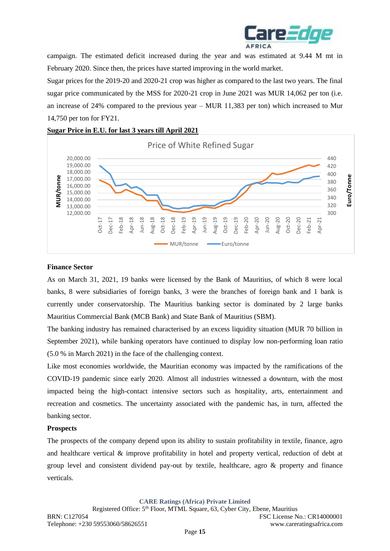

campaign. The estimated deficit increased during the year and was estimated at 9.44 M mt in February 2020. Since then, the prices have started improving in the world market.

Sugar prices for the 2019-20 and 2020-21 crop was higher as compared to the last two years. The final sugar price communicated by the MSS for 2020-21 crop in June 2021 was MUR 14,062 per ton (i.e. an increase of 24% compared to the previous year – MUR 11,383 per ton) which increased to Mur 14,750 per ton for FY21.



## **Sugar Price in E.U. for last 3 years till April 2021**

## **Finance Sector**

As on March 31, 2021, 19 banks were licensed by the Bank of Mauritius, of which 8 were local banks, 8 were subsidiaries of foreign banks, 3 were the branches of foreign bank and 1 bank is currently under conservatorship. The Mauritius banking sector is dominated by 2 large banks Mauritius Commercial Bank (MCB Bank) and State Bank of Mauritius (SBM).

The banking industry has remained characterised by an excess liquidity situation (MUR 70 billion in September 2021), while banking operators have continued to display low non-performing loan ratio (5.0 % in March 2021) in the face of the challenging context.

Like most economies worldwide, the Mauritian economy was impacted by the ramifications of the COVID-19 pandemic since early 2020. Almost all industries witnessed a downturn, with the most impacted being the high-contact intensive sectors such as hospitality, arts, entertainment and recreation and cosmetics. The uncertainty associated with the pandemic has, in turn, affected the banking sector.

## **Prospects**

The prospects of the company depend upon its ability to sustain profitability in textile, finance, agro and healthcare vertical & improve profitability in hotel and property vertical, reduction of debt at group level and consistent dividend pay-out by textile, healthcare, agro & property and finance verticals.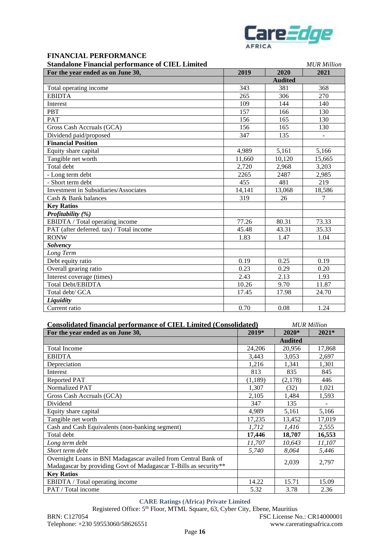

## **FINANCIAL PERFORMANCE**

| <b>Standalone Financial performance of CIEL Limited</b> | <b>MUR Million</b> |
|---------------------------------------------------------|--------------------|
|                                                         |                    |

| maarone 1 maneiar performance of CILL Limnea<br>For the year ended as on June 30, | 2019   | 2020           | 2021   |
|-----------------------------------------------------------------------------------|--------|----------------|--------|
|                                                                                   |        | <b>Audited</b> |        |
| Total operating income                                                            | 343    | 381            | 368    |
| <b>EBIDTA</b>                                                                     | 265    | 306            | 270    |
| Interest                                                                          | 109    | 144            | 140    |
| <b>PBT</b>                                                                        | 157    | 166            | 130    |
| <b>PAT</b>                                                                        | 156    | 165            | 130    |
| Gross Cash Accruals (GCA)                                                         | 156    | 165            | 130    |
| Dividend paid/proposed                                                            | 347    | 135            |        |
| <b>Financial Position</b>                                                         |        |                |        |
| Equity share capital                                                              | 4,989  | 5,161          | 5,166  |
| Tangible net worth                                                                | 11,660 | 10,120         | 15,665 |
| Total debt                                                                        | 2,720  | 2,968          | 3,203  |
| - Long term debt                                                                  | 2265   | 2487           | 2,985  |
| - Short term debt                                                                 | 455    | 481            | 219    |
| <b>Investment in Subsidiaries/Associates</b>                                      | 14,141 | 13,068         | 18,586 |
| Cash & Bank balances                                                              | 319    | 26             | 7      |
| <b>Key Ratios</b>                                                                 |        |                |        |
| Profitability (%)                                                                 |        |                |        |
| EBIDTA / Total operating income                                                   | 77.26  | 80.31          | 73.33  |
| PAT (after deferred. tax) / Total income                                          | 45.48  | 43.31          | 35.33  |
| <b>RONW</b>                                                                       | 1.83   | 1.47           | 1.04   |
| <b>Solvency</b>                                                                   |        |                |        |
| Long Term                                                                         |        |                |        |
| Debt equity ratio                                                                 | 0.19   | 0.25           | 0.19   |
| Overall gearing ratio                                                             | 0.23   | 0.29           | 0.20   |
| Interest coverage (times)                                                         | 2.43   | 2.13           | 1.93   |
| <b>Total Debt/EBIDTA</b>                                                          | 10.26  | 9.70           | 11.87  |
| Total debt/ GCA                                                                   | 17.45  | 17.98          | 24.70  |
| Liquidity                                                                         |        |                |        |
| Current ratio                                                                     | 0.70   | 0.08           | 1.24   |

| <b>Consolidated financial performance of CIEL Limited (Consolidated)</b>                                                           |          |                | <b>MUR Million</b> |
|------------------------------------------------------------------------------------------------------------------------------------|----------|----------------|--------------------|
| For the year ended as on June 30,                                                                                                  | 2019*    | $2020*$        | $2021*$            |
|                                                                                                                                    |          | <b>Audited</b> |                    |
| <b>Total Income</b>                                                                                                                | 24,206   | 20,956         | 17,868             |
| <b>EBIDTA</b>                                                                                                                      | 3,443    | 3,053          | 2,697              |
| Depreciation                                                                                                                       | 1,216    | 1,341          | 1,301              |
| Interest                                                                                                                           | 813      | 835            | 845                |
| Reported PAT                                                                                                                       | (1, 189) | (2,178)        | 446                |
| Normalized PAT                                                                                                                     | 1,307    | (32)           | 1,021              |
| Gross Cash Accruals (GCA)                                                                                                          | 2,105    | 1,484          | 1,593              |
| Dividend                                                                                                                           | 347      | 135            |                    |
| Equity share capital                                                                                                               | 4,989    | 5,161          | 5,166              |
| Tangible net worth                                                                                                                 | 17,235   | 13,452         | 17,019             |
| Cash and Cash Equivalents (non-banking segment)                                                                                    | 1,712    | 1,416          | 2,555              |
| Total debt                                                                                                                         | 17,446   | 18,707         | 16,553             |
| Long term debt                                                                                                                     | 11,707   | 10,643         | 11,107             |
| Short term debt                                                                                                                    | 5,740    | 8,064          | 5,446              |
| Overnight Loans in BNI Madagascar availed from Central Bank of<br>Madagascar by providing Govt of Madagascar T-Bills as security** |          | 2,039          | 2,797              |
| <b>Key Ratios</b>                                                                                                                  |          |                |                    |
| EBIDTA / Total operating income                                                                                                    | 14.22    | 15.71          | 15.09              |
| PAT / Total income                                                                                                                 | 5.32     | 3.78           | 2.36               |

## **CARE Ratings (Africa) Private Limited**

Registered Office: 5th Floor, MTML Square, 63, Cyber City, Ebene, Mauritius BRN: C127054 FSC License No.: CR14000001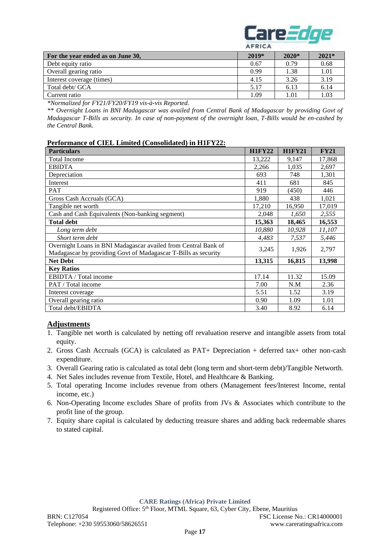

|                                   | $\cdots$ |                   |         |
|-----------------------------------|----------|-------------------|---------|
| For the year ended as on June 30, | $2019*$  | $2020*$           | $2021*$ |
| Debt equity ratio                 | 0.67     | 0.79              | 0.68    |
| Overall gearing ratio             | 0.99     | 1.38              | 1.01    |
| Interest coverage (times)         | 4.15     | 3.26              | 3.19    |
| Total debt/ GCA                   | 5.17     | 6.13              | 6.14    |
| Current ratio                     | 1.09     | $\overline{0.01}$ | 1.03    |

*\*Normalized for FY21/FY20/FY19 vis-à-vis Reported.*

*\*\* Overnight Loans in BNI Madagascar was availed from Central Bank of Madagascar by providing Govt of Madagascar T-Bills as security. In case of non-payment of the overnight loan, T-Bills would be en-cashed by the Central Bank.*

### **Performance of CIEL Limited (Consolidated) in H1FY22:**

| <b>Particulars</b>                                             | <b>H1FY22</b> | <b>H1FY21</b> | <b>FY21</b> |
|----------------------------------------------------------------|---------------|---------------|-------------|
| <b>Total Income</b>                                            | 13,222        | 9.147         | 17,868      |
| <b>EBIDTA</b>                                                  | 2.266         | 1.035         | 2,697       |
| Depreciation                                                   | 693           | 748           | 1,301       |
| Interest                                                       | 411           | 681           | 845         |
| <b>PAT</b>                                                     | 919           | (450)         | 446         |
| Gross Cash Accruals (GCA)                                      | 1,880         | 438           | 1,021       |
| Tangible net worth                                             | 17,210        | 16,950        | 17,019      |
| Cash and Cash Equivalents (Non-banking segment)                | 2,048         | 1,650         | 2,555       |
| <b>Total debt</b>                                              | 15,363        | 18,465        | 16,553      |
| Long term debt                                                 | 10.880        | 10,928        | 11,107      |
| Short term debt                                                | 4,483         | 7,537         | 5,446       |
| Overnight Loans in BNI Madagascar availed from Central Bank of |               | 1,926         | 2,797       |
| Madagascar by providing Govt of Madagascar T-Bills as security | 3,245         |               |             |
| <b>Net Debt</b>                                                | 13,315        | 16,815        | 13,998      |
| <b>Key Ratios</b>                                              |               |               |             |
| EBIDTA / Total income                                          | 17.14         | 11.32         | 15.09       |
| PAT / Total income                                             | 7.00          | N.M           | 2.36        |
| Interest coverage                                              |               | 1.52          | 3.19        |
| Overall gearing ratio                                          | 0.90          | 1.09          | 1.01        |
| Total debt/EBIDTA                                              | 3.40          | 8.92          | 6.14        |

## **Adjustments**

- 1. Tangible net worth is calculated by netting off revaluation reserve and intangible assets from total equity.
- 2. Gross Cash Accruals (GCA) is calculated as PAT+ Depreciation + deferred tax+ other non-cash expenditure.
- 3. Overall Gearing ratio is calculated as total debt (long term and short-term debt)/Tangible Networth.
- 4. Net Sales includes revenue from Textile, Hotel, and Healthcare & Banking.
- 5. Total operating Income includes revenue from others (Management fees/Interest Income, rental income, etc.)
- 6. Non-Operating Income excludes Share of profits from JVs & Associates which contribute to the profit line of the group.
- 7. Equity share capital is calculated by deducting treasure shares and adding back redeemable shares to stated capital.